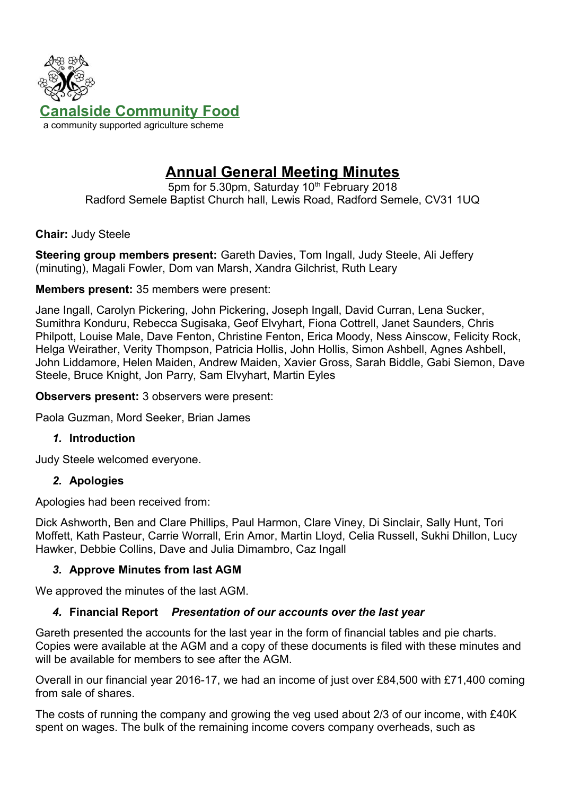

# **Annual General Meeting Minutes**

5pm for 5.30pm, Saturday 10<sup>th</sup> February 2018 Radford Semele Baptist Church hall, Lewis Road, Radford Semele, CV31 1UQ

**Chair:** Judy Steele

**Steering group members present:** Gareth Davies, Tom Ingall, Judy Steele, Ali Jeffery (minuting), Magali Fowler, Dom van Marsh, Xandra Gilchrist, Ruth Leary

#### **Members present:** 35 members were present:

Jane Ingall, Carolyn Pickering, John Pickering, Joseph Ingall, David Curran, Lena Sucker, Sumithra Konduru, Rebecca Sugisaka, Geof Elvyhart, Fiona Cottrell, Janet Saunders, Chris Philpott, Louise Male, Dave Fenton, Christine Fenton, Erica Moody, Ness Ainscow, Felicity Rock, Helga Weirather, Verity Thompson, Patricia Hollis, John Hollis, Simon Ashbell, Agnes Ashbell, John Liddamore, Helen Maiden, Andrew Maiden, Xavier Gross, Sarah Biddle, Gabi Siemon, Dave Steele, Bruce Knight, Jon Parry, Sam Elvyhart, Martin Eyles

**Observers present:** 3 observers were present:

Paola Guzman, Mord Seeker, Brian James

#### *1.* **Introduction**

Judy Steele welcomed everyone.

#### *2.* **Apologies**

Apologies had been received from:

Dick Ashworth, Ben and Clare Phillips, Paul Harmon, Clare Viney, Di Sinclair, Sally Hunt, Tori Moffett, Kath Pasteur, Carrie Worrall, Erin Amor, Martin Lloyd, Celia Russell, Sukhi Dhillon, Lucy Hawker, Debbie Collins, Dave and Julia Dimambro, Caz Ingall

## *3.* **Approve Minutes from last AGM**

We approved the minutes of the last AGM.

## *4.* **Financial Report** *Presentation of our accounts over the last year*

Gareth presented the accounts for the last year in the form of financial tables and pie charts. Copies were available at the AGM and a copy of these documents is filed with these minutes and will be available for members to see after the AGM.

Overall in our financial year 2016-17, we had an income of just over £84,500 with £71,400 coming from sale of shares.

The costs of running the company and growing the veg used about 2/3 of our income, with £40K spent on wages. The bulk of the remaining income covers company overheads, such as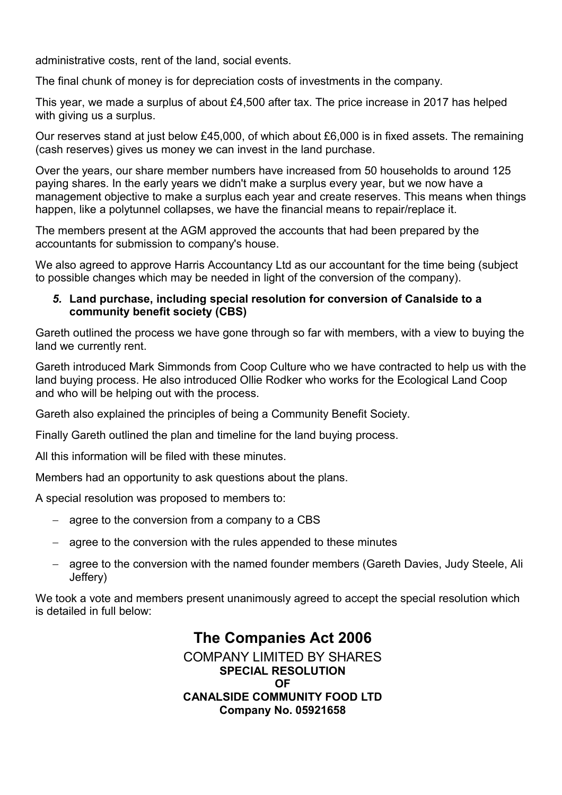administrative costs, rent of the land, social events.

The final chunk of money is for depreciation costs of investments in the company.

This year, we made a surplus of about £4,500 after tax. The price increase in 2017 has helped with giving us a surplus.

Our reserves stand at just below £45,000, of which about £6,000 is in fixed assets. The remaining (cash reserves) gives us money we can invest in the land purchase.

Over the years, our share member numbers have increased from 50 households to around 125 paying shares. In the early years we didn't make a surplus every year, but we now have a management objective to make a surplus each year and create reserves. This means when things happen, like a polytunnel collapses, we have the financial means to repair/replace it.

The members present at the AGM approved the accounts that had been prepared by the accountants for submission to company's house.

We also agreed to approve Harris Accountancy Ltd as our accountant for the time being (subject to possible changes which may be needed in light of the conversion of the company).

#### *5.* **Land purchase, including special resolution for conversion of Canalside to a community benefit society (CBS)**

Gareth outlined the process we have gone through so far with members, with a view to buying the land we currently rent.

Gareth introduced Mark Simmonds from Coop Culture who we have contracted to help us with the land buying process. He also introduced Ollie Rodker who works for the Ecological Land Coop and who will be helping out with the process.

Gareth also explained the principles of being a Community Benefit Society.

Finally Gareth outlined the plan and timeline for the land buying process.

All this information will be filed with these minutes.

Members had an opportunity to ask questions about the plans.

A special resolution was proposed to members to:

- $-$  agree to the conversion from a company to a CBS
- agree to the conversion with the rules appended to these minutes
- agree to the conversion with the named founder members (Gareth Davies, Judy Steele, Ali Jeffery)

We took a vote and members present unanimously agreed to accept the special resolution which is detailed in full below:

> **The Companies Act 2006** COMPANY LIMITED BY SHARES **SPECIAL RESOLUTION OF CANALSIDE COMMUNITY FOOD LTD Company No. 05921658**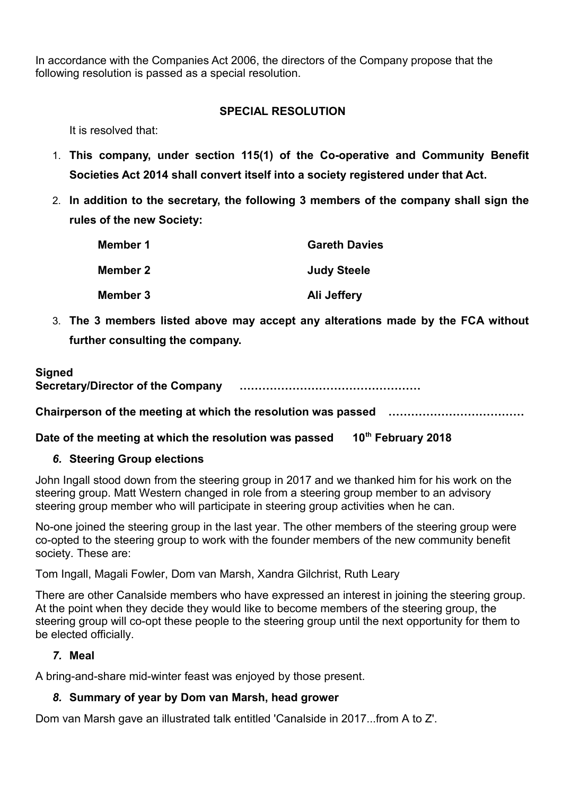In accordance with the Companies Act 2006, the directors of the Company propose that the following resolution is passed as a special resolution.

## **SPECIAL RESOLUTION**

It is resolved that:

- 1. **This company, under section 115(1) of the Co-operative and Community Benefit Societies Act 2014 shall convert itself into a society registered under that Act.**
- 2. **In addition to the secretary, the following 3 members of the company shall sign the rules of the new Society:**

| Member 1 | <b>Gareth Davies</b> |
|----------|----------------------|
| Member 2 | <b>Judy Steele</b>   |
| Member 3 | Ali Jeffery          |

3. **The 3 members listed above may accept any alterations made by the FCA without further consulting the company.**

## **Signed**

**Secretary/Director of the Company …………………………………………**

**Chairperson of the meeting at which the resolution was passed ………………………………**

**Date of the meeting at which the resolution was passed 10th February 2018**

## *6.* **Steering Group elections**

John Ingall stood down from the steering group in 2017 and we thanked him for his work on the steering group. Matt Western changed in role from a steering group member to an advisory steering group member who will participate in steering group activities when he can.

No-one joined the steering group in the last year. The other members of the steering group were co-opted to the steering group to work with the founder members of the new community benefit society. These are:

Tom Ingall, Magali Fowler, Dom van Marsh, Xandra Gilchrist, Ruth Leary

There are other Canalside members who have expressed an interest in joining the steering group. At the point when they decide they would like to become members of the steering group, the steering group will co-opt these people to the steering group until the next opportunity for them to be elected officially.

## *7.* **Meal**

A bring-and-share mid-winter feast was enjoyed by those present.

# *8.* **Summary of year by Dom van Marsh, head grower**

Dom van Marsh gave an illustrated talk entitled 'Canalside in 2017...from A to Z'.